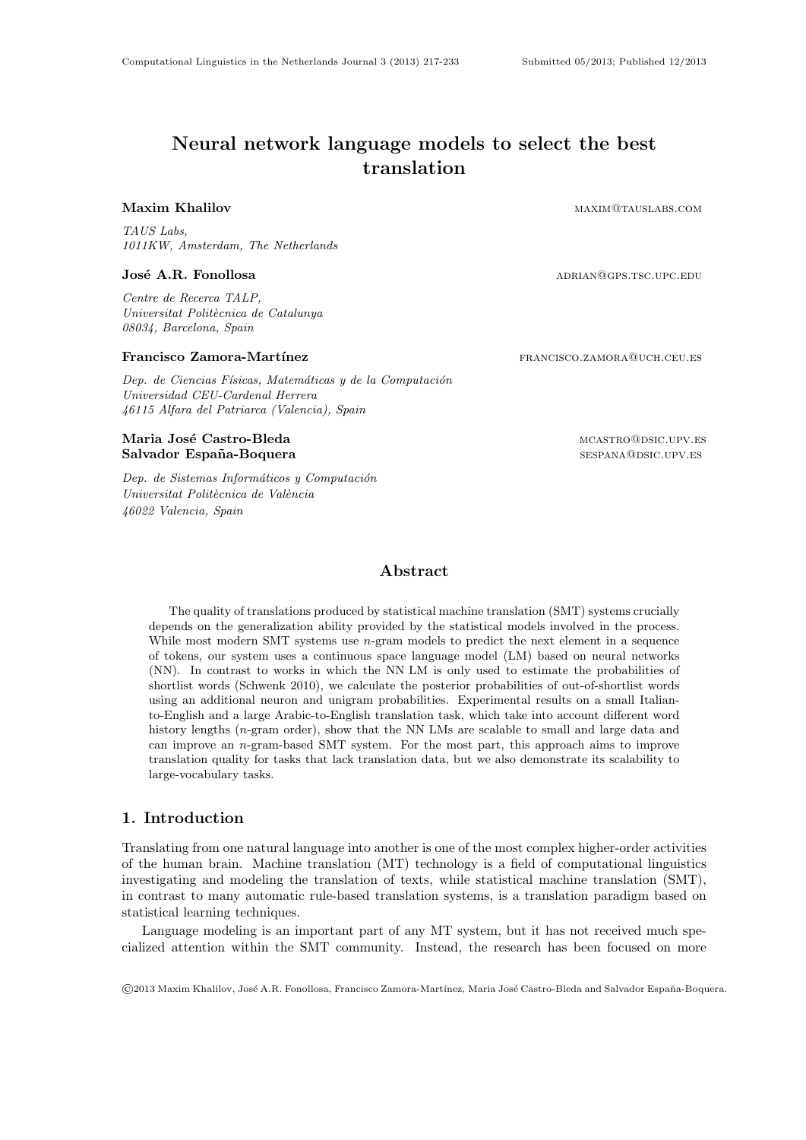# Neural network language models to select the best translation

Maxim Khalilov **maximately maximately maximately maximately maximately maximately maximately maximately maximately maximately maximately maximately maximately maximately maximately maximately maximately maximately maximate** 

TAUS Labs, 1011KW, Amsterdam, The Netherlands

# José A.R. Fonollosa adrian $\triangle$  adrian $\triangle$  adrian $\triangle$  adrian $\triangle$  adrian $\triangle$  adrian $\triangle$  adrian $\triangle$  adrian $\triangle$  and  $\triangle$  and  $\triangle$  and  $\triangle$  and  $\triangle$  and  $\triangle$  and  $\triangle$  and  $\triangle$  and  $\triangle$  and  $\triangle$  and  $\triangle$  and  $\triangle$  and  $\triangle$  and  $\$

Centre de Recerca TALP, Universitat Politècnica de Catalunya 08034, Barcelona, Spain

# Francisco Zamora-Martínez **francisco.zamora-Martínez** francisco.zamora@uch.ceu.es

Dep. de Ciencias Físicas, Matemáticas y de la Computación Universidad CEU-Cardenal Herrera 46115 Alfara del Patriarca (Valencia), Spain

# Maria José Castro-Bleda maria maria maria maria mcastro@dsic.upv.es Salvador España-Boquera sespañola en la contrada en la sespana@dsic.upv.es

Dep. de Sistemas Informáticos y Computación Universitat Politècnica de València 46022 Valencia, Spain

Abstract

The quality of translations produced by statistical machine translation (SMT) systems crucially depends on the generalization ability provided by the statistical models involved in the process. While most modern SMT systems use *n*-gram models to predict the next element in a sequence of tokens, our system uses a continuous space language model (LM) based on neural networks (NN). In contrast to works in which the NN LM is only used to estimate the probabilities of shortlist words (Schwenk 2010), we calculate the posterior probabilities of out-of-shortlist words using an additional neuron and unigram probabilities. Experimental results on a small Italianto-English and a large Arabic-to-English translation task, which take into account different word history lengths (*n*-gram order), show that the NN LMs are scalable to small and large data and can improve an n-gram-based SMT system. For the most part, this approach aims to improve translation quality for tasks that lack translation data, but we also demonstrate its scalability to large-vocabulary tasks.

# 1. Introduction

Translating from one natural language into another is one of the most complex higher-order activities of the human brain. Machine translation (MT) technology is a field of computational linguistics investigating and modeling the translation of texts, while statistical machine translation (SMT), in contrast to many automatic rule-based translation systems, is a translation paradigm based on statistical learning techniques.

Language modeling is an important part of any MT system, but it has not received much specialized attention within the SMT community. Instead, the research has been focused on more

©2013 Maxim Khalilov, Jos´e A.R. Fonollosa, Francisco Zamora-Mart´ınez, Maria Jos´e Castro-Bleda and Salvador Espa˜na-Boquera.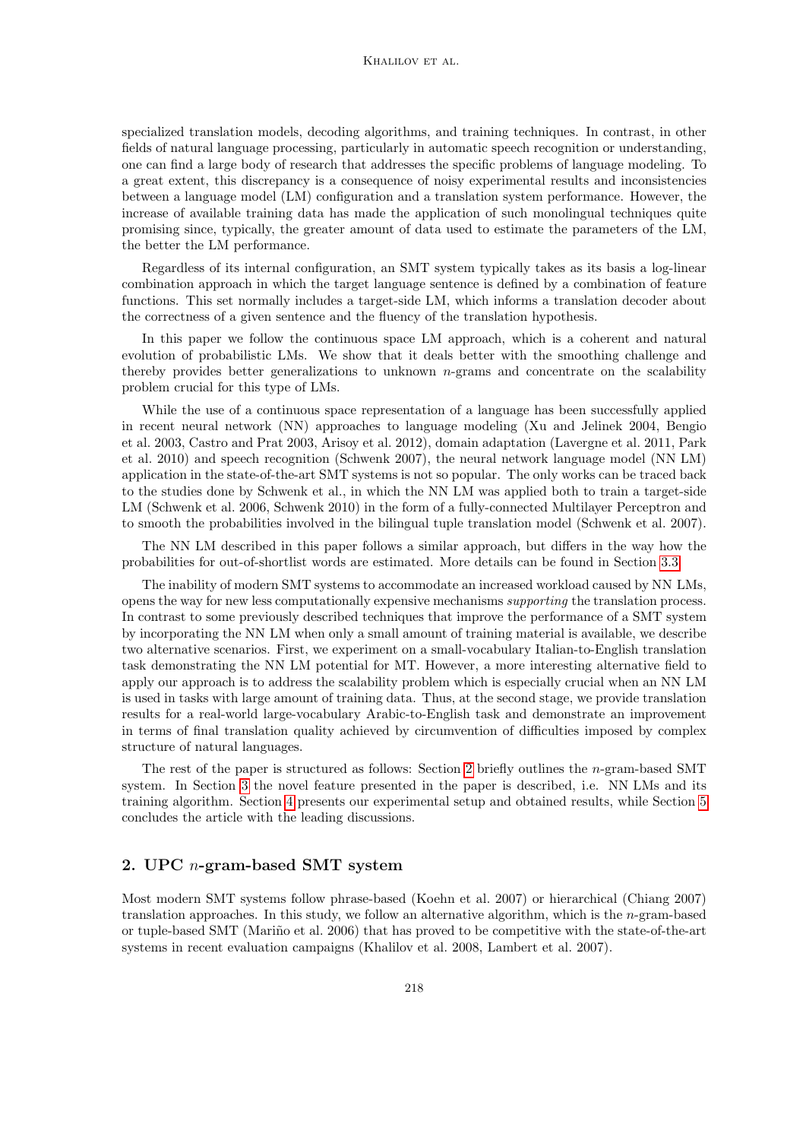#### KHALILOV ET AL.

specialized translation models, decoding algorithms, and training techniques. In contrast, in other fields of natural language processing, particularly in automatic speech recognition or understanding, one can find a large body of research that addresses the specific problems of language modeling. To a great extent, this discrepancy is a consequence of noisy experimental results and inconsistencies between a language model (LM) configuration and a translation system performance. However, the increase of available training data has made the application of such monolingual techniques quite promising since, typically, the greater amount of data used to estimate the parameters of the LM, the better the LM performance.

Regardless of its internal configuration, an SMT system typically takes as its basis a log-linear combination approach in which the target language sentence is defined by a combination of feature functions. This set normally includes a target-side LM, which informs a translation decoder about the correctness of a given sentence and the fluency of the translation hypothesis.

In this paper we follow the continuous space LM approach, which is a coherent and natural evolution of probabilistic LMs. We show that it deals better with the smoothing challenge and thereby provides better generalizations to unknown  $n$ -grams and concentrate on the scalability problem crucial for this type of LMs.

While the use of a continuous space representation of a language has been successfully applied in recent neural network (NN) approaches to language modeling (Xu and Jelinek 2004, Bengio et al. 2003, Castro and Prat 2003, Arisoy et al. 2012), domain adaptation (Lavergne et al. 2011, Park et al. 2010) and speech recognition (Schwenk 2007), the neural network language model (NN LM) application in the state-of-the-art SMT systems is not so popular. The only works can be traced back to the studies done by Schwenk et al., in which the NN LM was applied both to train a target-side LM (Schwenk et al. 2006, Schwenk 2010) in the form of a fully-connected Multilayer Perceptron and to smooth the probabilities involved in the bilingual tuple translation model (Schwenk et al. 2007).

The NN LM described in this paper follows a similar approach, but differs in the way how the probabilities for out-of-shortlist words are estimated. More details can be found in Section [3.3.](#page-7-0)

The inability of modern SMT systems to accommodate an increased workload caused by NN LMs, opens the way for new less computationally expensive mechanisms supporting the translation process. In contrast to some previously described techniques that improve the performance of a SMT system by incorporating the NN LM when only a small amount of training material is available, we describe two alternative scenarios. First, we experiment on a small-vocabulary Italian-to-English translation task demonstrating the NN LM potential for MT. However, a more interesting alternative field to apply our approach is to address the scalability problem which is especially crucial when an NN LM is used in tasks with large amount of training data. Thus, at the second stage, we provide translation results for a real-world large-vocabulary Arabic-to-English task and demonstrate an improvement in terms of final translation quality achieved by circumvention of difficulties imposed by complex structure of natural languages.

The rest of the paper is structured as follows: Section [2](#page-1-0) briefly outlines the n-gram-based SMT system. In Section [3](#page-3-0) the novel feature presented in the paper is described, i.e. NN LMs and its training algorithm. Section [4](#page-7-1) presents our experimental setup and obtained results, while Section [5](#page-13-0) concludes the article with the leading discussions.

# <span id="page-1-0"></span>2. UPC n-gram-based SMT system

Most modern SMT systems follow phrase-based (Koehn et al. 2007) or hierarchical (Chiang 2007) translation approaches. In this study, we follow an alternative algorithm, which is the  $n$ -gram-based or tuple-based SMT (Mariño et al. 2006) that has proved to be competitive with the state-of-the-art systems in recent evaluation campaigns (Khalilov et al. 2008, Lambert et al. 2007).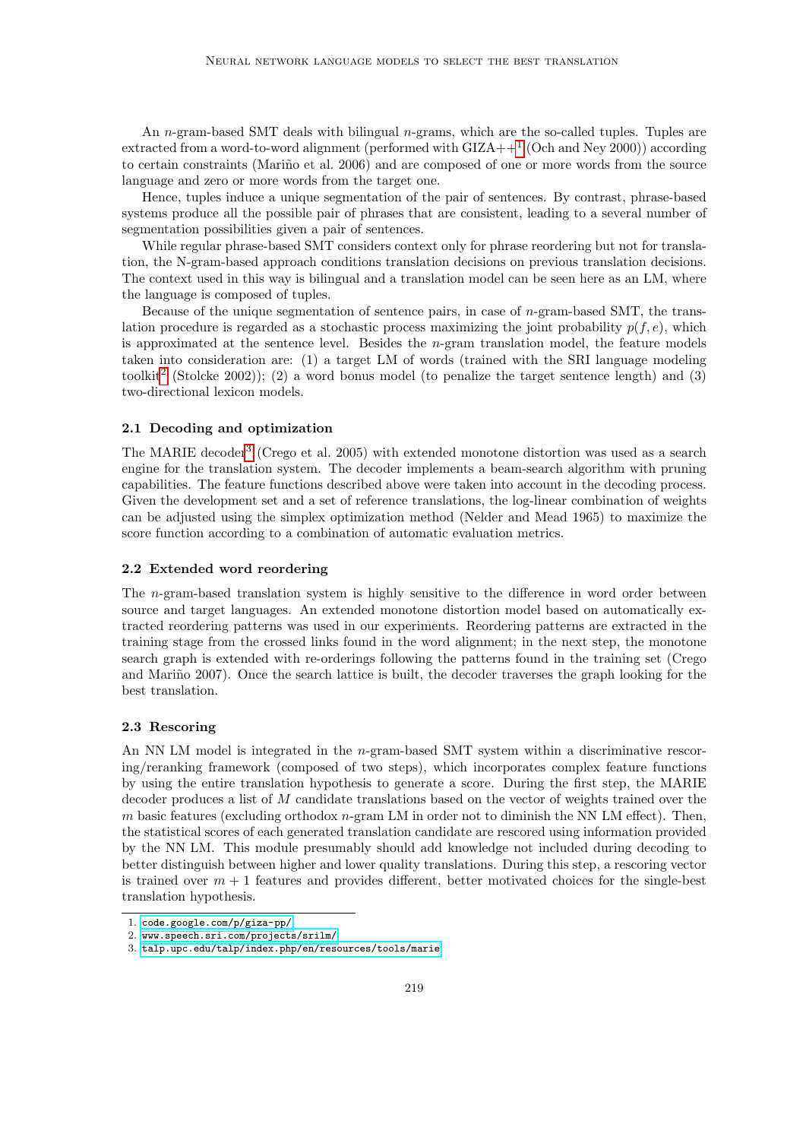An n-gram-based SMT deals with bilingual  $n$ -grams, which are the so-called tuples. Tuples are extracted from a word-to-word alignment (performed with  $GIZA++^1$  $GIZA++^1$  (Och and Ney 2000)) according to certain constraints (Mariño et al. 2006) and are composed of one or more words from the source language and zero or more words from the target one.

Hence, tuples induce a unique segmentation of the pair of sentences. By contrast, phrase-based systems produce all the possible pair of phrases that are consistent, leading to a several number of segmentation possibilities given a pair of sentences.

While regular phrase-based SMT considers context only for phrase reordering but not for translation, the N-gram-based approach conditions translation decisions on previous translation decisions. The context used in this way is bilingual and a translation model can be seen here as an LM, where the language is composed of tuples.

Because of the unique segmentation of sentence pairs, in case of  $n$ -gram-based SMT, the translation procedure is regarded as a stochastic process maximizing the joint probability  $p(f, e)$ , which is approximated at the sentence level. Besides the  $n$ -gram translation model, the feature models taken into consideration are: (1) a target LM of words (trained with the SRI language modeling toolkit<sup>[2](#page-2-1)</sup> (Stolcke 2002)); (2) a word bonus model (to penalize the target sentence length) and (3) two-directional lexicon models.

# 2.1 Decoding and optimization

The MARIE decoder<sup>[3](#page-2-2)</sup> (Crego et al. 2005) with extended monotone distortion was used as a search engine for the translation system. The decoder implements a beam-search algorithm with pruning capabilities. The feature functions described above were taken into account in the decoding process. Given the development set and a set of reference translations, the log-linear combination of weights can be adjusted using the simplex optimization method (Nelder and Mead 1965) to maximize the score function according to a combination of automatic evaluation metrics.

# 2.2 Extended word reordering

The n-gram-based translation system is highly sensitive to the difference in word order between source and target languages. An extended monotone distortion model based on automatically extracted reordering patterns was used in our experiments. Reordering patterns are extracted in the training stage from the crossed links found in the word alignment; in the next step, the monotone search graph is extended with re-orderings following the patterns found in the training set (Crego and Mariño 2007). Once the search lattice is built, the decoder traverses the graph looking for the best translation.

# 2.3 Rescoring

An NN LM model is integrated in the n-gram-based SMT system within a discriminative rescoring/reranking framework (composed of two steps), which incorporates complex feature functions by using the entire translation hypothesis to generate a score. During the first step, the MARIE decoder produces a list of M candidate translations based on the vector of weights trained over the m basic features (excluding orthodox  $n$ -gram LM in order not to diminish the NN LM effect). Then, the statistical scores of each generated translation candidate are rescored using information provided by the NN LM. This module presumably should add knowledge not included during decoding to better distinguish between higher and lower quality translations. During this step, a rescoring vector is trained over  $m + 1$  features and provides different, better motivated choices for the single-best translation hypothesis.

<span id="page-2-0"></span><sup>1.</sup> <code.google.com/p/giza-pp/>

<span id="page-2-1"></span><sup>2.</sup> <www.speech.sri.com/projects/srilm/>

<span id="page-2-2"></span><sup>3.</sup> <talp.upc.edu/talp/index.php/en/resources/tools/marie>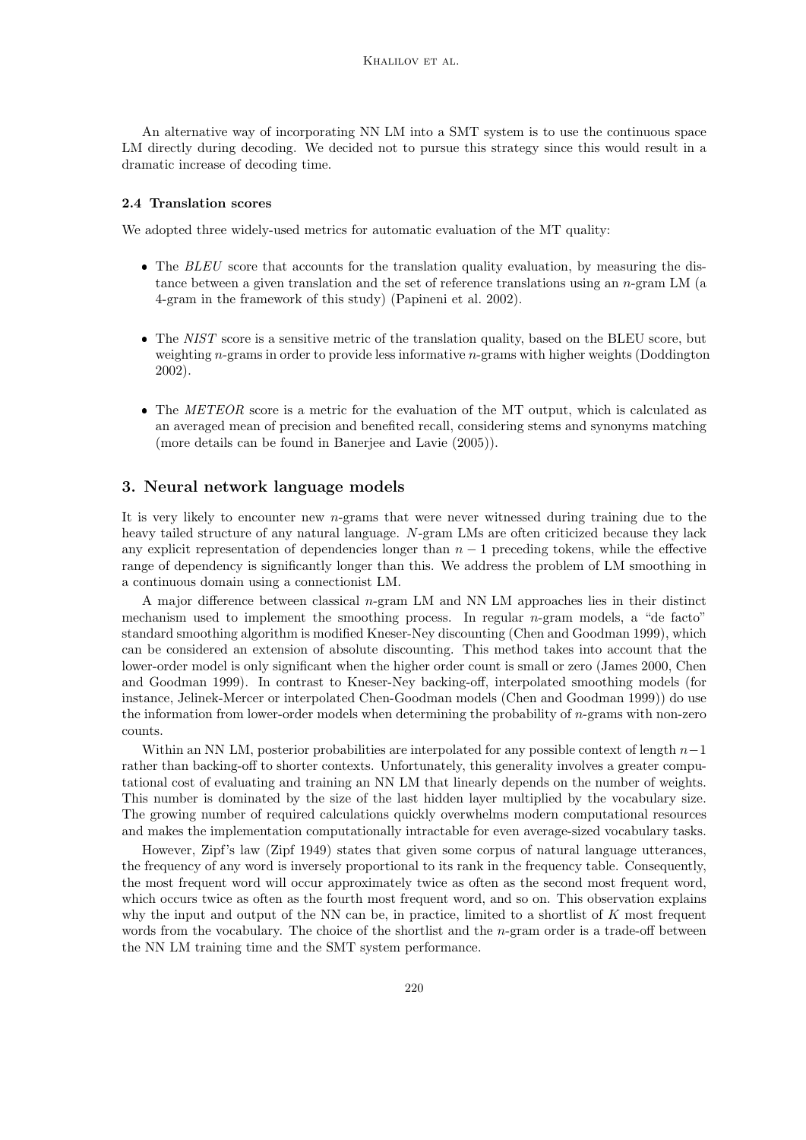An alternative way of incorporating NN LM into a SMT system is to use the continuous space LM directly during decoding. We decided not to pursue this strategy since this would result in a dramatic increase of decoding time.

# 2.4 Translation scores

We adopted three widely-used metrics for automatic evaluation of the MT quality:

- The BLEU score that accounts for the translation quality evaluation, by measuring the distance between a given translation and the set of reference translations using an  $n$ -gram LM (a 4-gram in the framework of this study) (Papineni et al. 2002).
- The NIST score is a sensitive metric of the translation quality, based on the BLEU score, but weighting  $n$ -grams in order to provide less informative  $n$ -grams with higher weights (Doddington 2002).
- The METEOR score is a metric for the evaluation of the MT output, which is calculated as an averaged mean of precision and benefited recall, considering stems and synonyms matching (more details can be found in Banerjee and Lavie (2005)).

# <span id="page-3-0"></span>3. Neural network language models

It is very likely to encounter new  $n$ -grams that were never witnessed during training due to the heavy tailed structure of any natural language. N-gram LMs are often criticized because they lack any explicit representation of dependencies longer than  $n - 1$  preceding tokens, while the effective range of dependency is significantly longer than this. We address the problem of LM smoothing in a continuous domain using a connectionist LM.

A major difference between classical n-gram LM and NN LM approaches lies in their distinct mechanism used to implement the smoothing process. In regular  $n$ -gram models, a "de facto" standard smoothing algorithm is modified Kneser-Ney discounting (Chen and Goodman 1999), which can be considered an extension of absolute discounting. This method takes into account that the lower-order model is only significant when the higher order count is small or zero (James 2000, Chen and Goodman 1999). In contrast to Kneser-Ney backing-off, interpolated smoothing models (for instance, Jelinek-Mercer or interpolated Chen-Goodman models (Chen and Goodman 1999)) do use the information from lower-order models when determining the probability of n-grams with non-zero counts.

Within an NN LM, posterior probabilities are interpolated for any possible context of length  $n-1$ rather than backing-off to shorter contexts. Unfortunately, this generality involves a greater computational cost of evaluating and training an NN LM that linearly depends on the number of weights. This number is dominated by the size of the last hidden layer multiplied by the vocabulary size. The growing number of required calculations quickly overwhelms modern computational resources and makes the implementation computationally intractable for even average-sized vocabulary tasks.

However, Zipf's law (Zipf 1949) states that given some corpus of natural language utterances, the frequency of any word is inversely proportional to its rank in the frequency table. Consequently, the most frequent word will occur approximately twice as often as the second most frequent word, which occurs twice as often as the fourth most frequent word, and so on. This observation explains why the input and output of the NN can be, in practice, limited to a shortlist of  $K$  most frequent words from the vocabulary. The choice of the shortlist and the  $n$ -gram order is a trade-off between the NN LM training time and the SMT system performance.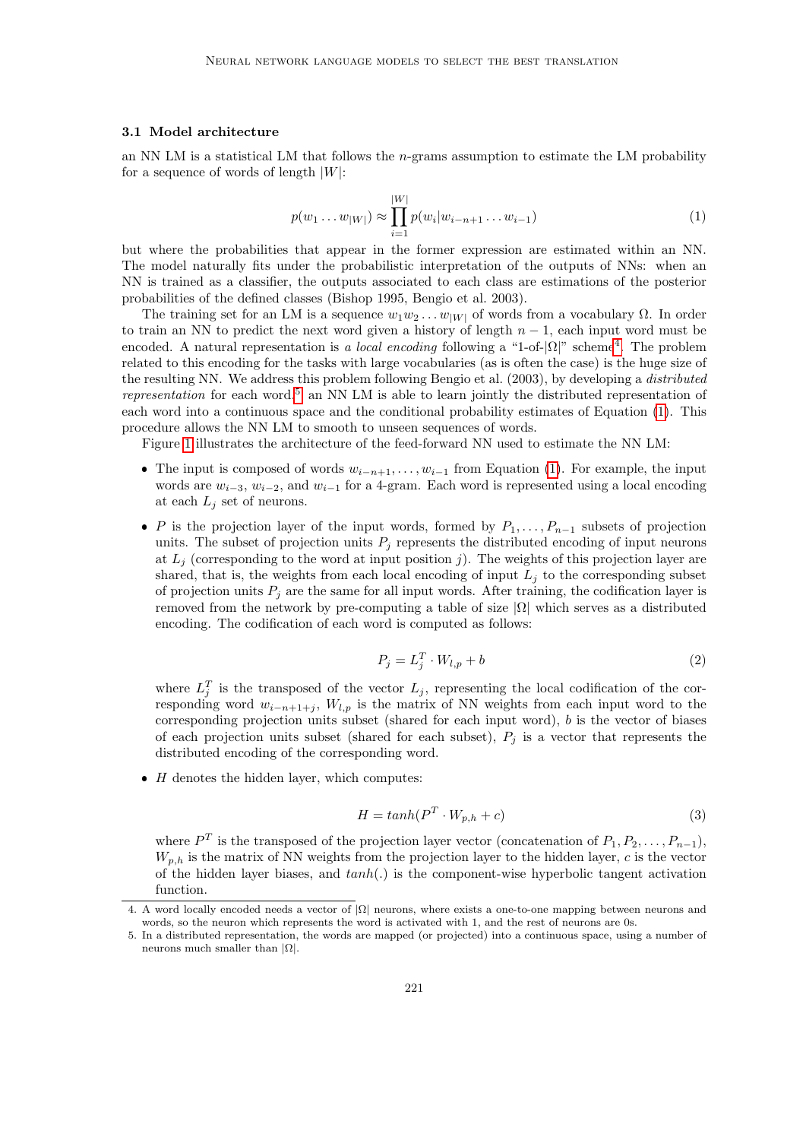#### <span id="page-4-3"></span>3.1 Model architecture

<span id="page-4-2"></span>an NN LM is a statistical LM that follows the  $n$ -grams assumption to estimate the LM probability for a sequence of words of length  $|W|$ :

$$
p(w_1 \dots w_{|W|}) \approx \prod_{i=1}^{|W|} p(w_i | w_{i-n+1} \dots w_{i-1})
$$
\n(1)

but where the probabilities that appear in the former expression are estimated within an NN. The model naturally fits under the probabilistic interpretation of the outputs of NNs: when an NN is trained as a classifier, the outputs associated to each class are estimations of the posterior probabilities of the defined classes (Bishop 1995, Bengio et al. 2003).

The training set for an LM is a sequence  $w_1w_2 \ldots w_{|W|}$  of words from a vocabulary  $\Omega$ . In order to train an NN to predict the next word given a history of length  $n-1$ , each input word must be encoded. A natural representation is a local encoding following a "1-of- $|\Omega|$ " scheme<sup>[4](#page-4-0)</sup>. The problem related to this encoding for the tasks with large vocabularies (as is often the case) is the huge size of the resulting NN. We address this problem following Bengio et al. (2003), by developing a distributed representation for each word.<sup>[5](#page-4-1)</sup> an NN LM is able to learn jointly the distributed representation of each word into a continuous space and the conditional probability estimates of Equation [\(1\)](#page-4-2). This procedure allows the NN LM to smooth to unseen sequences of words.

Figure [1](#page-5-0) illustrates the architecture of the feed-forward NN used to estimate the NN LM:

- The input is composed of words  $w_{i-n+1}, \ldots, w_{i-1}$  from Equation [\(1\)](#page-4-2). For example, the input words are  $w_{i-3}$ ,  $w_{i-2}$ , and  $w_{i-1}$  for a 4-gram. Each word is represented using a local encoding at each  $L_i$  set of neurons.
- P is the projection layer of the input words, formed by  $P_1, \ldots, P_{n-1}$  subsets of projection units. The subset of projection units  $P_i$  represents the distributed encoding of input neurons at  $L_j$  (corresponding to the word at input position j). The weights of this projection layer are shared, that is, the weights from each local encoding of input  $L_j$  to the corresponding subset of projection units  $P_i$  are the same for all input words. After training, the codification layer is removed from the network by pre-computing a table of size  $|\Omega|$  which serves as a distributed encoding. The codification of each word is computed as follows:

$$
P_j = L_j^T \cdot W_{l,p} + b \tag{2}
$$

where  $L_j^T$  is the transposed of the vector  $L_j$ , representing the local codification of the corresponding word  $w_{i-n+1+j}$ ,  $W_{l,p}$  is the matrix of NN weights from each input word to the corresponding projection units subset (shared for each input word),  $b$  is the vector of biases of each projection units subset (shared for each subset),  $P_j$  is a vector that represents the distributed encoding of the corresponding word.

 $\bullet$  *H* denotes the hidden layer, which computes:

$$
H = \tanh(P^T \cdot W_{p,h} + c) \tag{3}
$$

where  $P^T$  is the transposed of the projection layer vector (concatenation of  $P_1, P_2, \ldots, P_{n-1}$ ),  $W_{p,h}$  is the matrix of NN weights from the projection layer to the hidden layer, c is the vector of the hidden layer biases, and  $tanh(.)$  is the component-wise hyperbolic tangent activation function.

<span id="page-4-0"></span><sup>4.</sup> A word locally encoded needs a vector of |Ω| neurons, where exists a one-to-one mapping between neurons and words, so the neuron which represents the word is activated with 1, and the rest of neurons are 0s.

<span id="page-4-1"></span><sup>5.</sup> In a distributed representation, the words are mapped (or projected) into a continuous space, using a number of neurons much smaller than  $|\Omega|$ .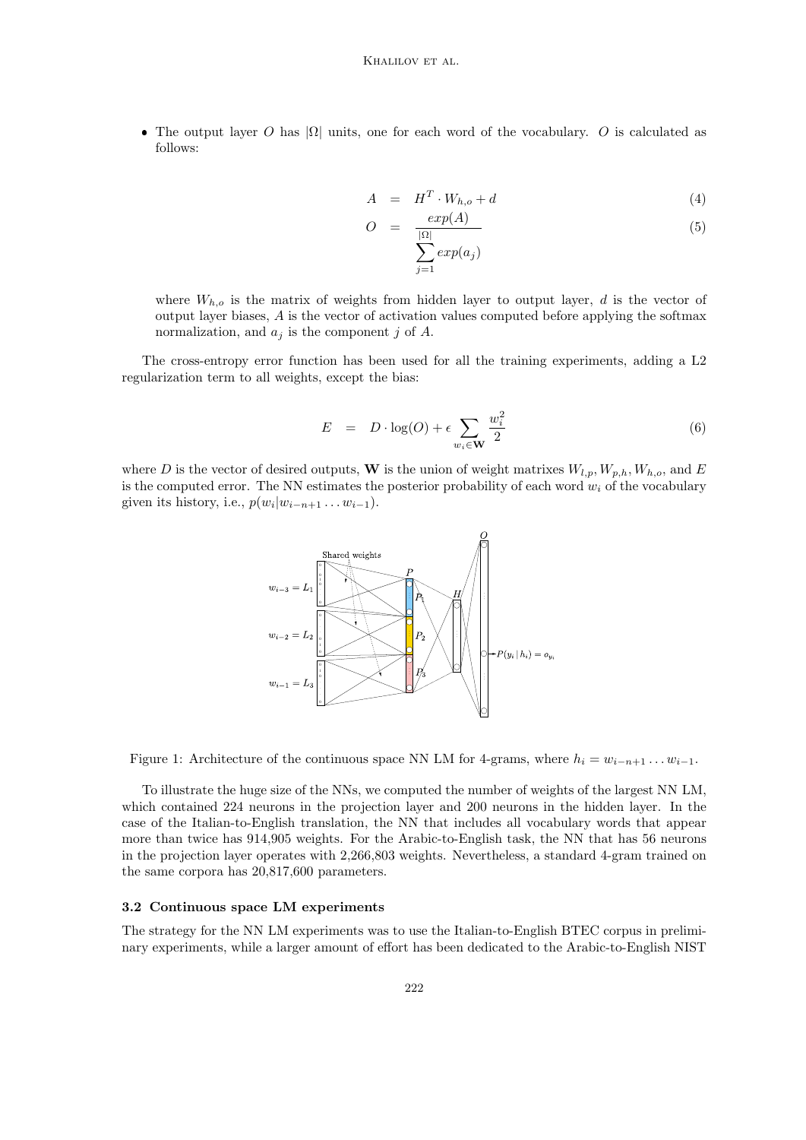• The output layer O has  $|\Omega|$  units, one for each word of the vocabulary. O is calculated as follows:

$$
A = H^T \cdot W_{h,o} + d \tag{4}
$$

$$
O = \frac{exp(A)}{\sum_{i=1}^{\vert \Omega \vert} exp(a_i)}
$$
(5)

where  $W_{h,o}$  is the matrix of weights from hidden layer to output layer, d is the vector of output layer biases, A is the vector of activation values computed before applying the softmax normalization, and  $a_j$  is the component j of A.

The cross-entropy error function has been used for all the training experiments, adding a L2 regularization term to all weights, except the bias:

$$
E = D \cdot \log(O) + \epsilon \sum_{w_i \in \mathbf{W}} \frac{w_i^2}{2}
$$
 (6)

where D is the vector of desired outputs, W is the union of weight matrixes  $W_{l,p}, W_{p,h}, W_{h,o}$ , and E is the computed error. The NN estimates the posterior probability of each word  $w_i$  of the vocabulary given its history, i.e.,  $p(w_i|w_{i-n+1} \ldots w_{i-1})$ .



<span id="page-5-0"></span>Figure 1: Architecture of the continuous space NN LM for 4-grams, where  $h_i = w_{i-n+1} \dots w_{i-1}$ .

To illustrate the huge size of the NNs, we computed the number of weights of the largest NN LM, which contained 224 neurons in the projection layer and 200 neurons in the hidden layer. In the case of the Italian-to-English translation, the NN that includes all vocabulary words that appear more than twice has 914,905 weights. For the Arabic-to-English task, the NN that has 56 neurons in the projection layer operates with 2,266,803 weights. Nevertheless, a standard 4-gram trained on the same corpora has 20,817,600 parameters.

#### 3.2 Continuous space LM experiments

The strategy for the NN LM experiments was to use the Italian-to-English BTEC corpus in preliminary experiments, while a larger amount of effort has been dedicated to the Arabic-to-English NIST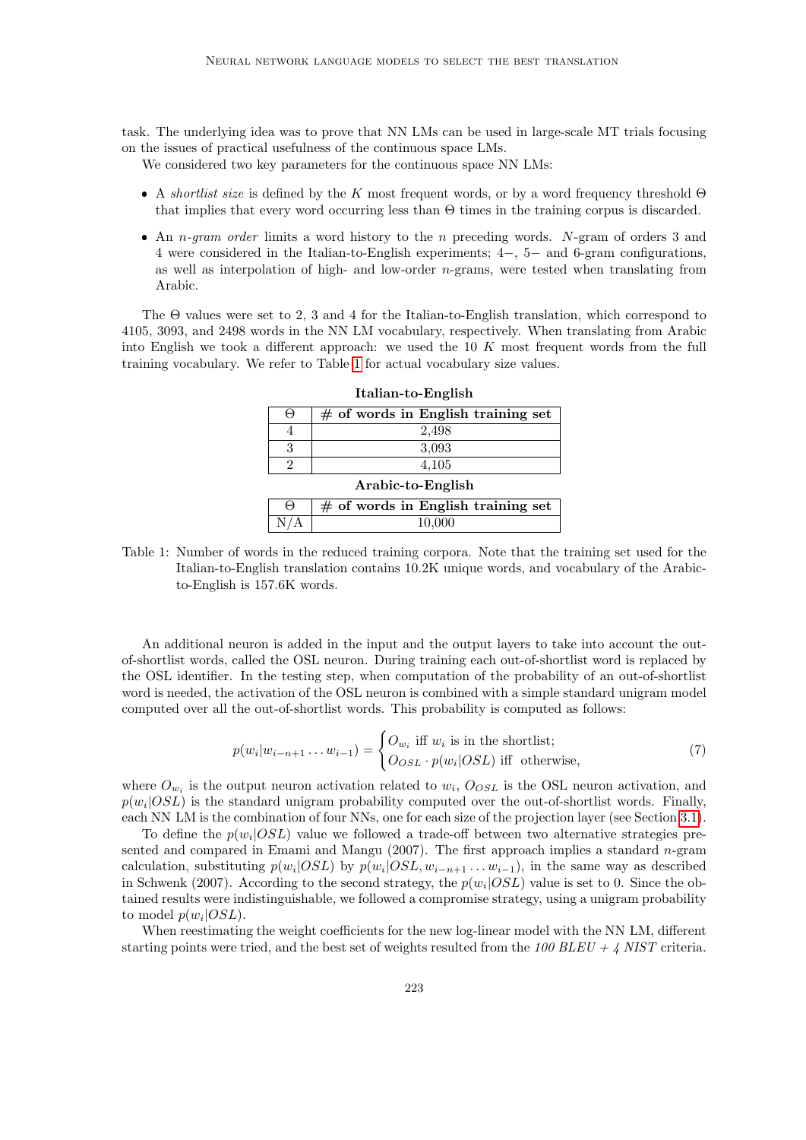task. The underlying idea was to prove that NN LMs can be used in large-scale MT trials focusing on the issues of practical usefulness of the continuous space LMs.

We considered two key parameters for the continuous space NN LMs:

- A shortlist size is defined by the K most frequent words, or by a word frequency threshold  $\Theta$ that implies that every word occurring less than Θ times in the training corpus is discarded.
- An *n-gram order* limits a word history to the *n* preceding words. N-gram of orders 3 and 4 were considered in the Italian-to-English experiments; 4−, 5− and 6-gram configurations, as well as interpolation of high- and low-order n-grams, were tested when translating from Arabic.

The Θ values were set to 2, 3 and 4 for the Italian-to-English translation, which correspond to 4105, 3093, and 2498 words in the NN LM vocabulary, respectively. When translating from Arabic into English we took a different approach: we used the  $10\ K$  most frequent words from the full training vocabulary. We refer to Table [1](#page-6-0) for actual vocabulary size values.

| $\Theta$          | $#$ of words in English training set |  |  |  |
|-------------------|--------------------------------------|--|--|--|
|                   | 2,498                                |  |  |  |
| 3                 | 3.093                                |  |  |  |
| 2                 | 4,105                                |  |  |  |
| Arabic-to-English |                                      |  |  |  |
| $\Theta$          | $#$ of words in English training set |  |  |  |

Italian-to-English

<span id="page-6-0"></span>Table 1: Number of words in the reduced training corpora. Note that the training set used for the Italian-to-English translation contains 10.2K unique words, and vocabulary of the Arabicto-English is 157.6K words.

N/A 10,000

An additional neuron is added in the input and the output layers to take into account the outof-shortlist words, called the OSL neuron. During training each out-of-shortlist word is replaced by the OSL identifier. In the testing step, when computation of the probability of an out-of-shortlist word is needed, the activation of the OSL neuron is combined with a simple standard unigram model computed over all the out-of-shortlist words. This probability is computed as follows:

$$
p(w_i|w_{i-n+1}\dots w_{i-1}) = \begin{cases} O_{w_i} \text{ iff } w_i \text{ is in the short list;} \\ O_{OSL} \cdot p(w_i|OSL) \text{ iff } \text{ otherwise,} \end{cases}
$$
(7)

where  $O_{w_i}$  is the output neuron activation related to  $w_i$ ,  $O_{OSL}$  is the OSL neuron activation, and  $p(w_i|OSL)$  is the standard unigram probability computed over the out-of-shortlist words. Finally, each NN LM is the combination of four NNs, one for each size of the projection layer (see Section [3.1\)](#page-4-3).

To define the  $p(w_i|OSL)$  value we followed a trade-off between two alternative strategies presented and compared in Emami and Mangu  $(2007)$ . The first approach implies a standard *n*-gram calculation, substituting  $p(w_i|OSL)$  by  $p(w_i|OSL, w_{i-n+1} \ldots w_{i-1})$ , in the same way as described in Schwenk (2007). According to the second strategy, the  $p(w_i|OSL)$  value is set to 0. Since the obtained results were indistinguishable, we followed a compromise strategy, using a unigram probability to model  $p(w_i|OSL)$ .

When reestimating the weight coefficients for the new log-linear model with the NN LM, different starting points were tried, and the best set of weights resulted from the  $100$  BLEU + 4 NIST criteria.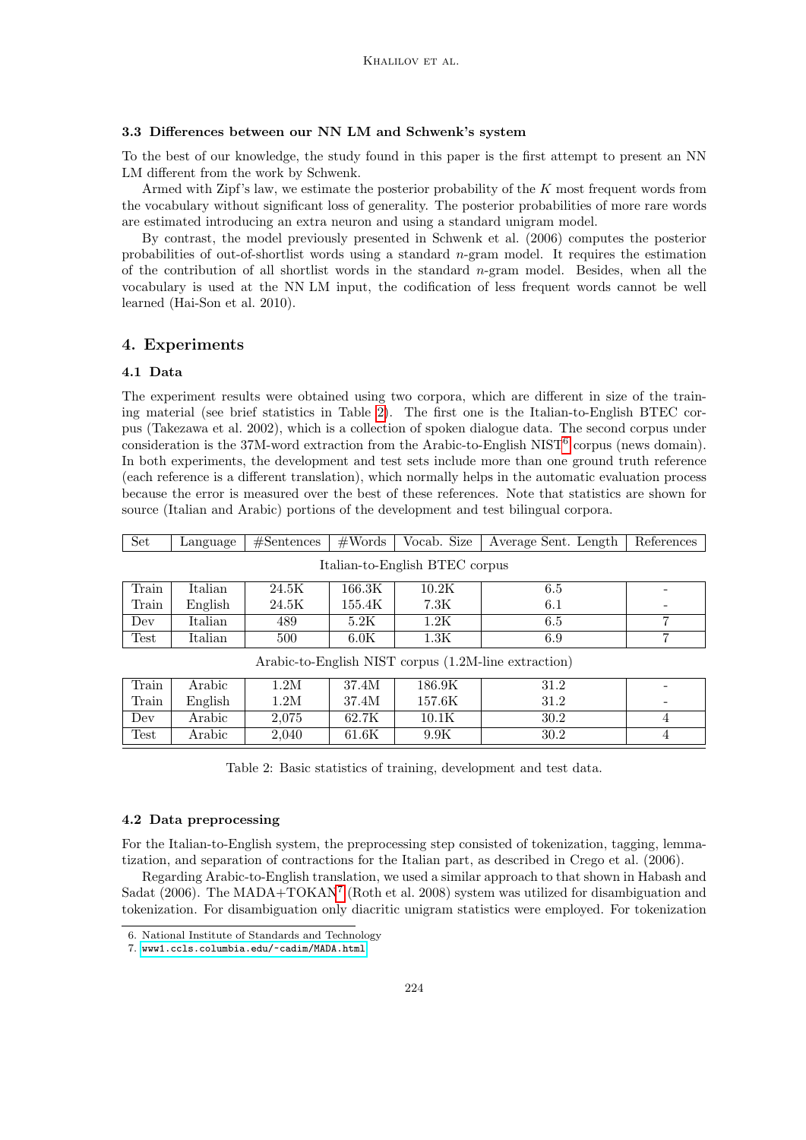# <span id="page-7-0"></span>3.3 Differences between our NN LM and Schwenk's system

To the best of our knowledge, the study found in this paper is the first attempt to present an NN LM different from the work by Schwenk.

Armed with Zipf's law, we estimate the posterior probability of the K most frequent words from the vocabulary without significant loss of generality. The posterior probabilities of more rare words are estimated introducing an extra neuron and using a standard unigram model.

By contrast, the model previously presented in Schwenk et al. (2006) computes the posterior probabilities of out-of-shortlist words using a standard n-gram model. It requires the estimation of the contribution of all shortlist words in the standard  $n$ -gram model. Besides, when all the vocabulary is used at the NN LM input, the codification of less frequent words cannot be well learned (Hai-Son et al. 2010).

# <span id="page-7-1"></span>4. Experiments

# 4.1 Data

The experiment results were obtained using two corpora, which are different in size of the training material (see brief statistics in Table [2\)](#page-7-2). The first one is the Italian-to-English BTEC corpus (Takezawa et al. 2002), which is a collection of spoken dialogue data. The second corpus under consideration is the 37M-word extraction from the Arabic-to-English NIST<sup>[6](#page-7-3)</sup> corpus (news domain). In both experiments, the development and test sets include more than one ground truth reference (each reference is a different translation), which normally helps in the automatic evaluation process because the error is measured over the best of these references. Note that statistics are shown for source (Italian and Arabic) portions of the development and test bilingual corpora.

| Set                                                  | Language | #Sentences | #Words | Vocab. Size     | Average Sent. Length | References |
|------------------------------------------------------|----------|------------|--------|-----------------|----------------------|------------|
| Italian-to-English BTEC corpus                       |          |            |        |                 |                      |            |
| Train                                                | Italian  | 24.5K      | 166.3K | 10.2K           | 6.5                  |            |
| Train                                                | English  | 24.5K      | 155.4K | 7.3K            | 6.1                  |            |
| Dev                                                  | Italian  | 489        | 5.2K   | 1.2K            | 6.5                  | 7          |
| Test                                                 | Italian  | 500        | 6.0K   | $1.3\mathrm{K}$ | 6.9                  | 7          |
| Arabic-to-English NIST corpus (1.2M-line extraction) |          |            |        |                 |                      |            |
| Train                                                | Arabic   | 1.2M       | 37.4M  | 186.9K          | 31.2                 |            |
| Train                                                | English  | 1.2M       | 37.4M  | 157.6K          | 31.2                 |            |
| Dev                                                  | Arabic   | 2,075      | 62.7K  | 10.1K           | 30.2                 | 4          |
| Test                                                 | Arabic   | 2,040      | 61.6K  | 9.9K            | 30.2                 | 4          |

<span id="page-7-2"></span>Table 2: Basic statistics of training, development and test data.

# 4.2 Data preprocessing

For the Italian-to-English system, the preprocessing step consisted of tokenization, tagging, lemmatization, and separation of contractions for the Italian part, as described in Crego et al. (2006).

Regarding Arabic-to-English translation, we used a similar approach to that shown in Habash and Sadat (2006). The MADA+TOKAN<sup>[7](#page-7-4)</sup> (Roth et al. 2008) system was utilized for disambiguation and tokenization. For disambiguation only diacritic unigram statistics were employed. For tokenization

<span id="page-7-3"></span><sup>6.</sup> National Institute of Standards and Technology

<span id="page-7-4"></span><sup>7.</sup> <www1.ccls.columbia.edu/~cadim/MADA.html>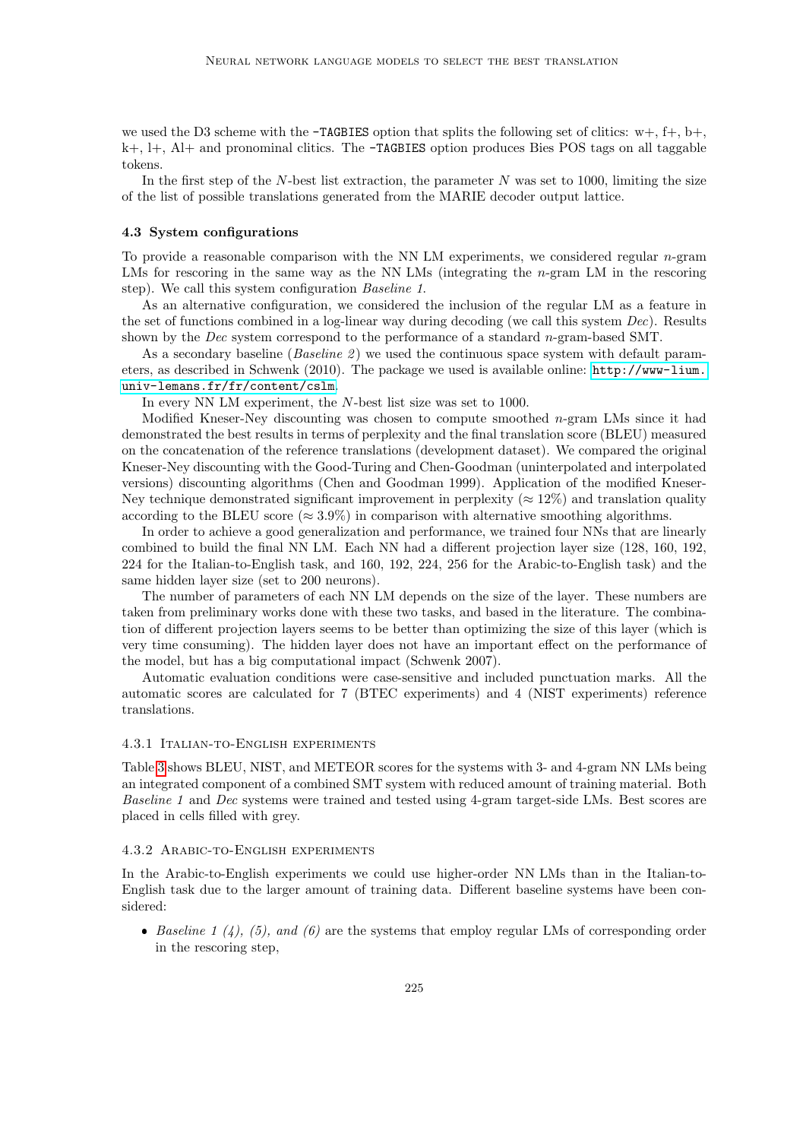we used the D3 scheme with the **-TAGBIES** option that splits the following set of clitics:  $w+$ ,  $f+$ ,  $b+$ .  $k+$ ,  $l+$ ,  $Al+$  and pronominal clitics. The  $-TAGBIES$  option produces Bies POS tags on all taggable tokens.

In the first step of the  $N$ -best list extraction, the parameter  $N$  was set to 1000, limiting the size of the list of possible translations generated from the MARIE decoder output lattice.

#### 4.3 System configurations

To provide a reasonable comparison with the NN LM experiments, we considered regular n-gram LMs for rescoring in the same way as the NN LMs (integrating the n-gram LM in the rescoring step). We call this system configuration Baseline 1.

As an alternative configuration, we considered the inclusion of the regular LM as a feature in the set of functions combined in a log-linear way during decoding (we call this system  $Dec$ ). Results shown by the Dec system correspond to the performance of a standard  $n$ -gram-based SMT.

As a secondary baseline (Baseline 2) we used the continuous space system with default parameters, as described in Schwenk (2010). The package we used is available online: [http://www-lium.](http://www-lium.univ-lemans.fr/fr/content/cslm) [univ-lemans.fr/fr/content/cslm](http://www-lium.univ-lemans.fr/fr/content/cslm).

In every NN LM experiment, the N-best list size was set to 1000.

Modified Kneser-Ney discounting was chosen to compute smoothed  $n$ -gram LMs since it had demonstrated the best results in terms of perplexity and the final translation score (BLEU) measured on the concatenation of the reference translations (development dataset). We compared the original Kneser-Ney discounting with the Good-Turing and Chen-Goodman (uninterpolated and interpolated versions) discounting algorithms (Chen and Goodman 1999). Application of the modified Kneser-Ney technique demonstrated significant improvement in perplexity ( $\approx 12\%$ ) and translation quality according to the BLEU score ( $\approx 3.9\%$ ) in comparison with alternative smoothing algorithms.

In order to achieve a good generalization and performance, we trained four NNs that are linearly combined to build the final NN LM. Each NN had a different projection layer size (128, 160, 192, 224 for the Italian-to-English task, and 160, 192, 224, 256 for the Arabic-to-English task) and the same hidden layer size (set to 200 neurons).

The number of parameters of each NN LM depends on the size of the layer. These numbers are taken from preliminary works done with these two tasks, and based in the literature. The combination of different projection layers seems to be better than optimizing the size of this layer (which is very time consuming). The hidden layer does not have an important effect on the performance of the model, but has a big computational impact (Schwenk 2007).

Automatic evaluation conditions were case-sensitive and included punctuation marks. All the automatic scores are calculated for 7 (BTEC experiments) and 4 (NIST experiments) reference translations.

#### 4.3.1 Italian-to-English experiments

Table [3](#page-9-0) shows BLEU, NIST, and METEOR scores for the systems with 3- and 4-gram NN LMs being an integrated component of a combined SMT system with reduced amount of training material. Both Baseline 1 and Dec systems were trained and tested using 4-gram target-side LMs. Best scores are placed in cells filled with grey.

# 4.3.2 Arabic-to-English experiments

In the Arabic-to-English experiments we could use higher-order NN LMs than in the Italian-to-English task due to the larger amount of training data. Different baseline systems have been considered:

Baseline 1 (4), (5), and (6) are the systems that employ regular LMs of corresponding order in the rescoring step,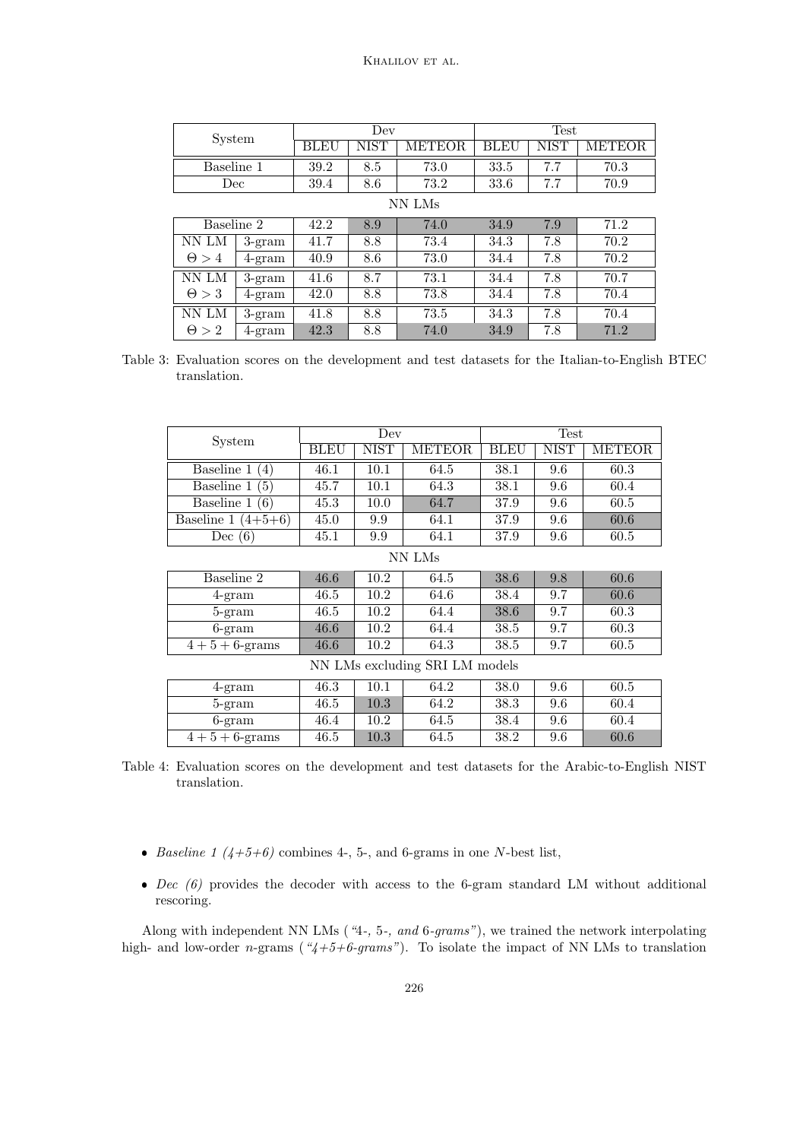Khalilov et al.

| System       |                 | Dev  |      |         | <b>Test</b> |      |               |
|--------------|-----------------|------|------|---------|-------------|------|---------------|
|              |                 | BLEU | NIST | METEOR. | <b>BLEU</b> | NIST | <b>METEOR</b> |
| Baseline 1   |                 | 39.2 | 8.5  | 73.0    | 33.5        | 7.7  | 70.3          |
| Dec          |                 | 39.4 | 8.6  | 73.2    | 33.6        | 7.7  | 70.9          |
| NN LMs       |                 |      |      |         |             |      |               |
| Baseline 2   |                 | 42.2 | 8.9  | 74.0    | 34.9        | 7.9  | 71.2          |
| NN LM        | $3-gram$        | 41.7 | 8.8  | 73.4    | 34.3        | 7.8  | 70.2          |
| $\Theta > 4$ | $4\text{-}gram$ | 40.9 | 8.6  | 73.0    | 34.4        | 7.8  | 70.2          |
| NN LM        | $3-gram$        | 41.6 | 8.7  | 73.1    | 34.4        | 7.8  | 70.7          |
| $\Theta > 3$ | $4\text{-}gram$ | 42.0 | 8.8  | 73.8    | 34.4        | 7.8  | 70.4          |
| NN LM        | $3-gram$        | 41.8 | 8.8  | 73.5    | 34.3        | 7.8  | 70.4          |
| $\Theta > 2$ | $4\text{-}gram$ | 42.3 | 8.8  | 74.0    | 34.9        | 7.8  | 71.2          |

<span id="page-9-0"></span>Table 3: Evaluation scores on the development and test datasets for the Italian-to-English BTEC translation.

| System                         |             | Dev         |        |             | Test        |               |
|--------------------------------|-------------|-------------|--------|-------------|-------------|---------------|
|                                | <b>BLEU</b> | <b>NIST</b> | METEOR | <b>BLEU</b> | <b>NIST</b> | <b>METEOR</b> |
| Baseline 1<br>(4)              | 46.1        | 10.1        | 64.5   | 38.1        | 9.6         | 60.3          |
| Baseline 1<br>(5)              | 45.7        | 10.1        | 64.3   | 38.1        | 9.6         | 60.4          |
| Baseline 1<br>(6)              | 45.3        | 10.0        | 64.7   | 37.9        | 9.6         | 60.5          |
| Baseline 1 $(4+5+6)$           | 45.0        | 9.9         | 64.1   | 37.9        | 9.6         | 60.6          |
| Dec $(6)$                      | 45.1        | 9.9         | 64.1   | 37.9        | 9.6         | 60.5          |
|                                |             |             | NN LMs |             |             |               |
| Baseline 2                     | 46.6        | 10.2        | 64.5   | 38.6        | 9.8         | 60.6          |
| $4\text{-gram}$                | 46.5        | 10.2        | 64.6   | 38.4        | 9.7         | 60.6          |
| $5$ -gram                      | 46.5        | 10.2        | 64.4   | 38.6        | 9.7         | 60.3          |
| $6\text{-}gram$                | 46.6        | 10.2        | 64.4   | 38.5        | 9.7         | 60.3          |
| $4+5+6$ -grams                 | 46.6        | 10.2        | 64.3   | 38.5        | 9.7         | 60.5          |
| NN LMs excluding SRI LM models |             |             |        |             |             |               |
| 4-gram                         | 46.3        | 10.1        | 64.2   | 38.0        | 9.6         | 60.5          |
| 5-gram                         | 46.5        | 10.3        | 64.2   | 38.3        | 9.6         | 60.4          |
| $6\text{-}gram$                | 46.4        | 10.2        | 64.5   | 38.4        | 9.6         | 60.4          |
| $4+5+6$ -grams                 | 46.5        | 10.3        | 64.5   | 38.2        | 9.6         | 60.6          |

Table 4: Evaluation scores on the development and test datasets for the Arabic-to-English NIST translation.

- Baseline 1 ( $4+5+6$ ) combines 4-, 5-, and 6-grams in one N-best list,
- $\bullet$  *Dec* (6) provides the decoder with access to the 6-gram standard LM without additional rescoring.

Along with independent NN LMs ("4-, 5-, and 6-grams"), we trained the network interpolating high- and low-order n-grams ( $4+5+6-grams$ "). To isolate the impact of NN LMs to translation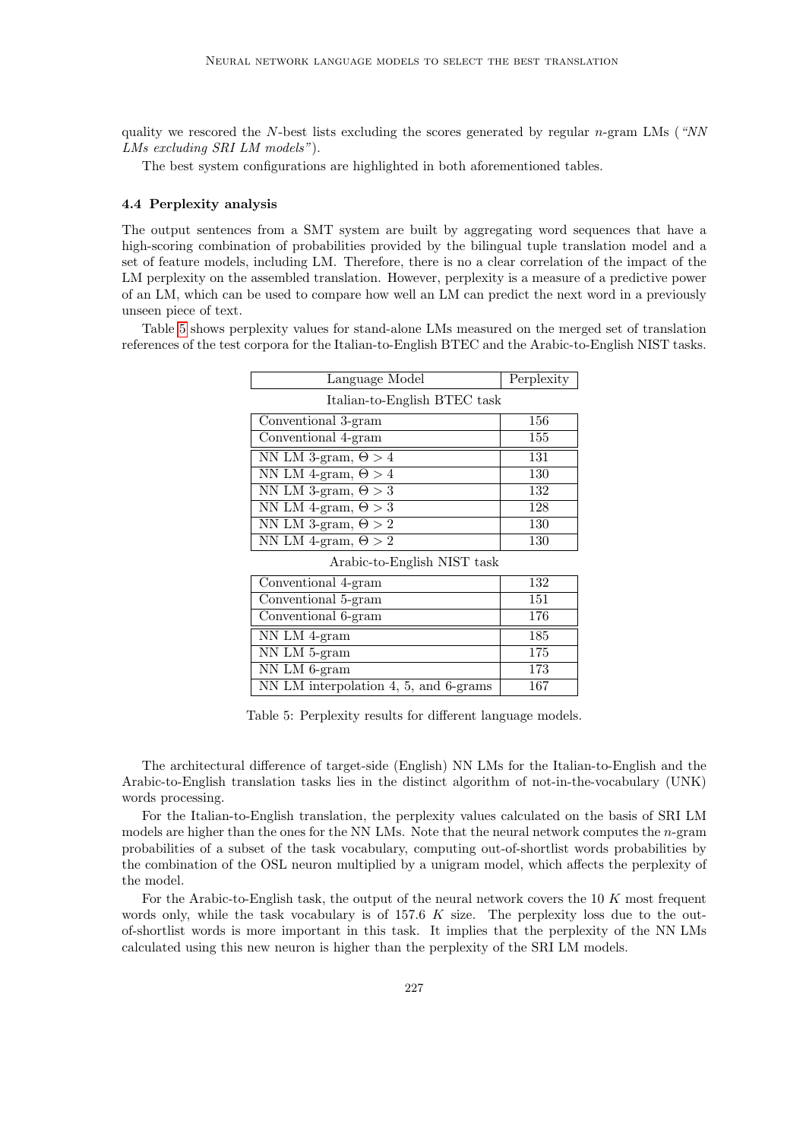quality we rescored the N-best lists excluding the scores generated by regular  $n$ -gram LMs ("NN LMs excluding SRI LM models").

The best system configurations are highlighted in both aforementioned tables.

#### 4.4 Perplexity analysis

The output sentences from a SMT system are built by aggregating word sequences that have a high-scoring combination of probabilities provided by the bilingual tuple translation model and a set of feature models, including LM. Therefore, there is no a clear correlation of the impact of the LM perplexity on the assembled translation. However, perplexity is a measure of a predictive power of an LM, which can be used to compare how well an LM can predict the next word in a previously unseen piece of text.

Table [5](#page-10-0) shows perplexity values for stand-alone LMs measured on the merged set of translation references of the test corpora for the Italian-to-English BTEC and the Arabic-to-English NIST tasks.

| Language Model               | Perplexity |
|------------------------------|------------|
| Italian-to-English BTEC task |            |
| Conventional 3-gram          | 156        |
| Conventional 4-gram          | 155        |
| NN LM 3-gram, $\Theta > 4$   | 131        |
| NN LM 4-gram, $\Theta > 4$   | 130        |
| NN LM 3-gram, $\Theta > 3$   | 132        |
| NN LM 4-gram, $\Theta > 3$   | 128        |
| NN LM 3-gram, $\Theta > 2$   | 130        |
| NN LM 4-gram, $\Theta > 2$   | 130        |

Arabic-to-English NIST task

| Conventional 4-gram                   | 132 |
|---------------------------------------|-----|
| Conventional 5-gram                   | 151 |
| Conventional 6-gram                   | 176 |
| NN LM 4-gram                          | 185 |
| NN LM 5-gram                          | 175 |
| NN LM 6-gram                          | 173 |
| NN LM interpolation 4, 5, and 6-grams | 167 |

<span id="page-10-0"></span>Table 5: Perplexity results for different language models.

The architectural difference of target-side (English) NN LMs for the Italian-to-English and the Arabic-to-English translation tasks lies in the distinct algorithm of not-in-the-vocabulary (UNK) words processing.

For the Italian-to-English translation, the perplexity values calculated on the basis of SRI LM models are higher than the ones for the NN LMs. Note that the neural network computes the n-gram probabilities of a subset of the task vocabulary, computing out-of-shortlist words probabilities by the combination of the OSL neuron multiplied by a unigram model, which affects the perplexity of the model.

For the Arabic-to-English task, the output of the neural network covers the 10 K most frequent words only, while the task vocabulary is of 157.6 K size. The perplexity loss due to the outof-shortlist words is more important in this task. It implies that the perplexity of the NN LMs calculated using this new neuron is higher than the perplexity of the SRI LM models.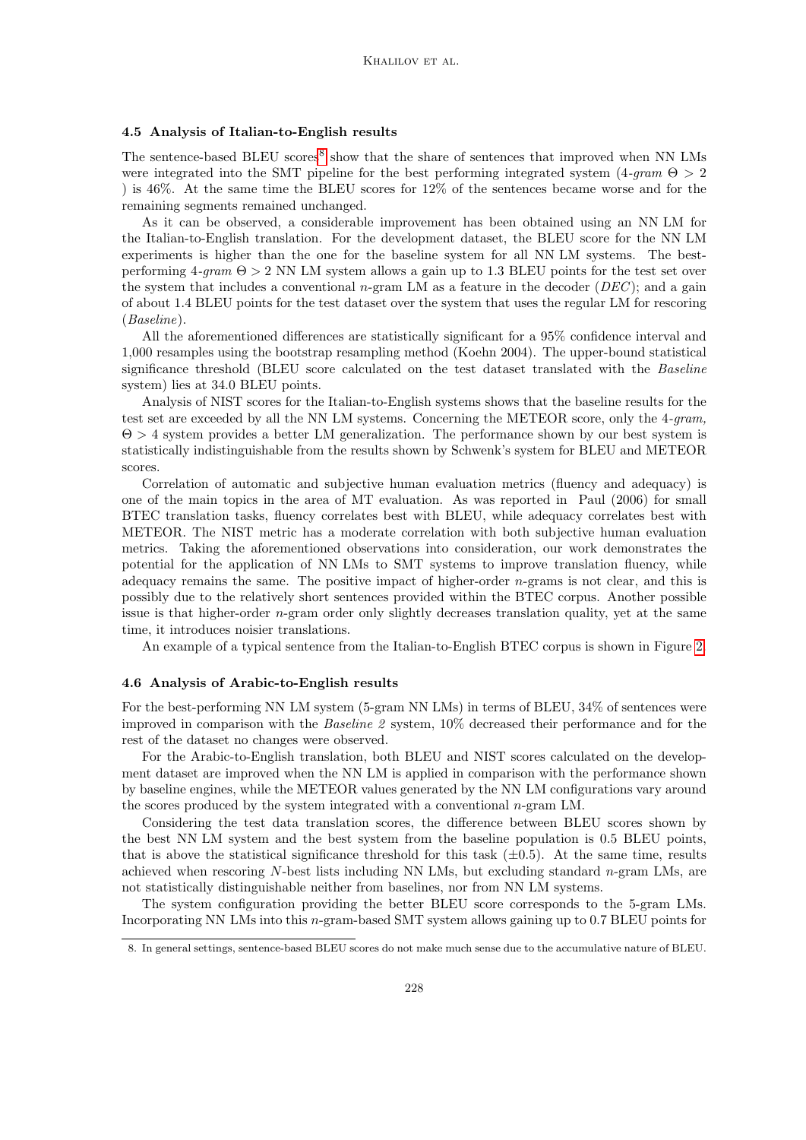### 4.5 Analysis of Italian-to-English results

The sentence-based BLEU scores<sup>[8](#page-11-0)</sup> show that the share of sentences that improved when NN LMs were integrated into the SMT pipeline for the best performing integrated system  $(4\text{-}gram \Theta > 2$ ) is 46%. At the same time the BLEU scores for 12% of the sentences became worse and for the remaining segments remained unchanged.

As it can be observed, a considerable improvement has been obtained using an NN LM for the Italian-to-English translation. For the development dataset, the BLEU score for the NN LM experiments is higher than the one for the baseline system for all NN LM systems. The bestperforming  $4\text{-}gram \Theta > 2 \text{ NN LM}$  system allows a gain up to 1.3 BLEU points for the test set over the system that includes a conventional n-gram LM as a feature in the decoder  $(DEC)$ ; and a gain of about 1.4 BLEU points for the test dataset over the system that uses the regular LM for rescoring (Baseline).

All the aforementioned differences are statistically significant for a 95% confidence interval and 1,000 resamples using the bootstrap resampling method (Koehn 2004). The upper-bound statistical significance threshold (BLEU score calculated on the test dataset translated with the Baseline system) lies at 34.0 BLEU points.

Analysis of NIST scores for the Italian-to-English systems shows that the baseline results for the test set are exceeded by all the NN LM systems. Concerning the METEOR score, only the 4-gram, Θ > 4 system provides a better LM generalization. The performance shown by our best system is statistically indistinguishable from the results shown by Schwenk's system for BLEU and METEOR scores.

Correlation of automatic and subjective human evaluation metrics (fluency and adequacy) is one of the main topics in the area of MT evaluation. As was reported in Paul (2006) for small BTEC translation tasks, fluency correlates best with BLEU, while adequacy correlates best with METEOR. The NIST metric has a moderate correlation with both subjective human evaluation metrics. Taking the aforementioned observations into consideration, our work demonstrates the potential for the application of NN LMs to SMT systems to improve translation fluency, while adequacy remains the same. The positive impact of higher-order  $n$ -grams is not clear, and this is possibly due to the relatively short sentences provided within the BTEC corpus. Another possible issue is that higher-order  $n$ -gram order only slightly decreases translation quality, yet at the same time, it introduces noisier translations.

An example of a typical sentence from the Italian-to-English BTEC corpus is shown in Figure [2.](#page-12-0)

#### 4.6 Analysis of Arabic-to-English results

For the best-performing NN LM system (5-gram NN LMs) in terms of BLEU, 34% of sentences were improved in comparison with the Baseline 2 system, 10% decreased their performance and for the rest of the dataset no changes were observed.

For the Arabic-to-English translation, both BLEU and NIST scores calculated on the development dataset are improved when the NN LM is applied in comparison with the performance shown by baseline engines, while the METEOR values generated by the NN LM configurations vary around the scores produced by the system integrated with a conventional  $n$ -gram LM.

Considering the test data translation scores, the difference between BLEU scores shown by the best NN LM system and the best system from the baseline population is 0.5 BLEU points, that is above the statistical significance threshold for this task  $(\pm 0.5)$ . At the same time, results achieved when rescoring N-best lists including NN LMs, but excluding standard n-gram LMs, are not statistically distinguishable neither from baselines, nor from NN LM systems.

The system configuration providing the better BLEU score corresponds to the 5-gram LMs. Incorporating NN LMs into this n-gram-based SMT system allows gaining up to 0.7 BLEU points for

<span id="page-11-0"></span><sup>8.</sup> In general settings, sentence-based BLEU scores do not make much sense due to the accumulative nature of BLEU.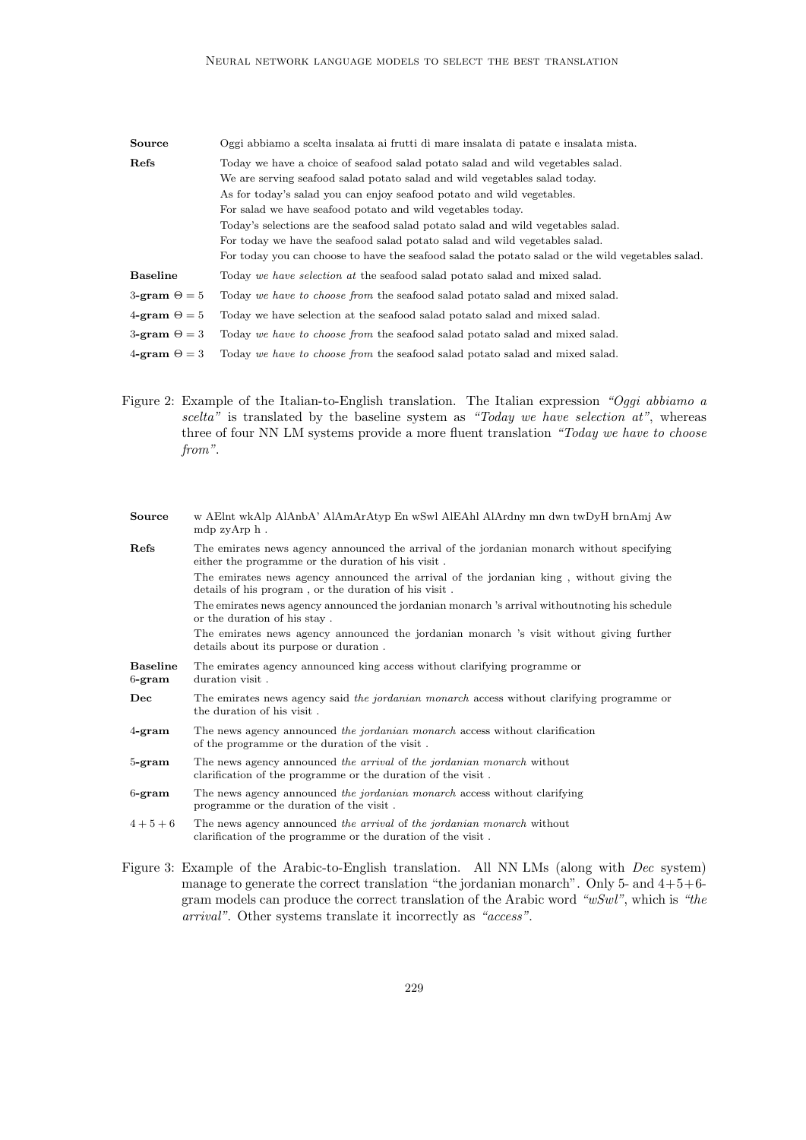| Source                     | Oggi abbiamo a scelta insalata ai frutti di mare insalata di patate e insalata mista.             |
|----------------------------|---------------------------------------------------------------------------------------------------|
| Refs                       | Today we have a choice of seafood salad potato salad and wild vegetables salad.                   |
|                            | We are serving seafood salad potato salad and wild vegetables salad today.                        |
|                            | As for today's salad you can enjoy seafood potato and wild vegetables.                            |
|                            | For salad we have seafood potato and wild vegetables today.                                       |
|                            | Today's selections are the seafood salad potato salad and wild vegetables salad.                  |
|                            | For today we have the seafood salad potato salad and wild vegetables salad.                       |
|                            | For today you can choose to have the seafood salad the potato salad or the wild vegetables salad. |
| <b>Baseline</b>            | Today we have selection at the seafood salad potato salad and mixed salad.                        |
| $3\text{-gram} \Theta = 5$ | Today we have to choose from the seafood salad potato salad and mixed salad.                      |
| $4\text{-gram} \Theta = 5$ | Today we have selection at the seafood salad potato salad and mixed salad.                        |
| $3\text{-gram} \Theta = 3$ | Today we have to choose from the seafood salad potato salad and mixed salad.                      |
| $4\text{-gram} \Theta = 3$ | Today we have to choose from the seafood salad potato salad and mixed salad.                      |

<span id="page-12-0"></span>Figure 2: Example of the Italian-to-English translation. The Italian expression "Oggi abbiamo a scelta" is translated by the baseline system as "Today we have selection at", whereas three of four NN LM systems provide a more fluent translation "Today we have to choose from".

| <b>Source</b>                | w AElnt wkAlp AlAnbA' AlAmArAtyp En wSwl AlEAhl AlArdny mn dwn twDyH brnAmj Aw<br>mdp zyArp h.                                                    |
|------------------------------|---------------------------------------------------------------------------------------------------------------------------------------------------|
| Refs                         | The emirates news agency announced the arrival of the jordanian monarch without specifying<br>either the programme or the duration of his visit.  |
|                              | The emirates news agency announced the arrival of the jordanian king, without giving the<br>details of his program, or the duration of his visit. |
|                              | The emirates news agency announced the jordanian monarch 's arrival without noting his schedule<br>or the duration of his stay.                   |
|                              | The emirates news agency announced the jordanian monarch 's visit without giving further<br>details about its purpose or duration.                |
| <b>Baseline</b><br>$6$ -gram | The emirates agency announced king access without clarifying programme or<br>duration visit.                                                      |
| Dec                          | The emirates news agency said the jordanian monarch access without clarifying programme or<br>the duration of his visit.                          |
| $4$ -gram                    | The news agency announced the jordanian monarch access without clarification<br>of the programme or the duration of the visit.                    |
| $5$ -gram                    | The news agency announced the arrival of the jordanian monarch without<br>clarification of the programme or the duration of the visit.            |
| $6$ -gram                    | The news agency announced the jordanian monarch access without clarifying<br>programme or the duration of the visit.                              |
| $4+5+6$                      | The news agency announced the arrival of the jordanian monarch without<br>clarification of the programme or the duration of the visit.            |

<span id="page-12-1"></span>Figure 3: Example of the Arabic-to-English translation. All NN LMs (along with Dec system) manage to generate the correct translation "the jordanian monarch". Only 5- and  $4+5+6$ gram models can produce the correct translation of the Arabic word " $wSwl$ ", which is "the arrival". Other systems translate it incorrectly as "access".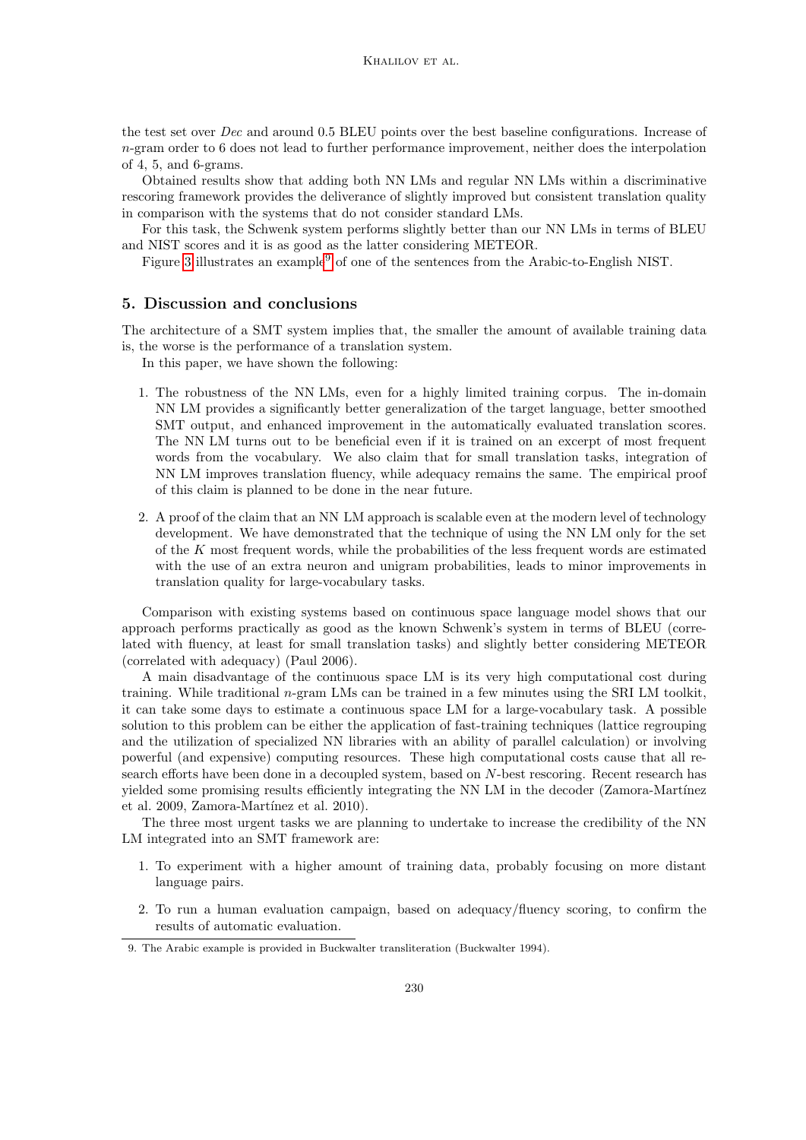the test set over Dec and around 0.5 BLEU points over the best baseline configurations. Increase of  $n$ -gram order to 6 does not lead to further performance improvement, neither does the interpolation of 4, 5, and 6-grams.

Obtained results show that adding both NN LMs and regular NN LMs within a discriminative rescoring framework provides the deliverance of slightly improved but consistent translation quality in comparison with the systems that do not consider standard LMs.

For this task, the Schwenk system performs slightly better than our NN LMs in terms of BLEU and NIST scores and it is as good as the latter considering METEOR.

Figure [3](#page-12-1) illustrates an example<sup>[9](#page-13-1)</sup> of one of the sentences from the Arabic-to-English NIST.

# <span id="page-13-0"></span>5. Discussion and conclusions

The architecture of a SMT system implies that, the smaller the amount of available training data is, the worse is the performance of a translation system.

In this paper, we have shown the following:

- 1. The robustness of the NN LMs, even for a highly limited training corpus. The in-domain NN LM provides a significantly better generalization of the target language, better smoothed SMT output, and enhanced improvement in the automatically evaluated translation scores. The NN LM turns out to be beneficial even if it is trained on an excerpt of most frequent words from the vocabulary. We also claim that for small translation tasks, integration of NN LM improves translation fluency, while adequacy remains the same. The empirical proof of this claim is planned to be done in the near future.
- 2. A proof of the claim that an NN LM approach is scalable even at the modern level of technology development. We have demonstrated that the technique of using the NN LM only for the set of the  $K$  most frequent words, while the probabilities of the less frequent words are estimated with the use of an extra neuron and unigram probabilities, leads to minor improvements in translation quality for large-vocabulary tasks.

Comparison with existing systems based on continuous space language model shows that our approach performs practically as good as the known Schwenk's system in terms of BLEU (correlated with fluency, at least for small translation tasks) and slightly better considering METEOR (correlated with adequacy) (Paul 2006).

A main disadvantage of the continuous space LM is its very high computational cost during training. While traditional n-gram LMs can be trained in a few minutes using the SRI LM toolkit, it can take some days to estimate a continuous space LM for a large-vocabulary task. A possible solution to this problem can be either the application of fast-training techniques (lattice regrouping and the utilization of specialized NN libraries with an ability of parallel calculation) or involving powerful (and expensive) computing resources. These high computational costs cause that all research efforts have been done in a decoupled system, based on N-best rescoring. Recent research has yielded some promising results efficiently integrating the NN LM in the decoder (Zamora-Martínez et al. 2009, Zamora-Martínez et al. 2010).

The three most urgent tasks we are planning to undertake to increase the credibility of the NN LM integrated into an SMT framework are:

- 1. To experiment with a higher amount of training data, probably focusing on more distant language pairs.
- 2. To run a human evaluation campaign, based on adequacy/fluency scoring, to confirm the results of automatic evaluation.

<span id="page-13-1"></span><sup>9.</sup> The Arabic example is provided in Buckwalter transliteration (Buckwalter 1994).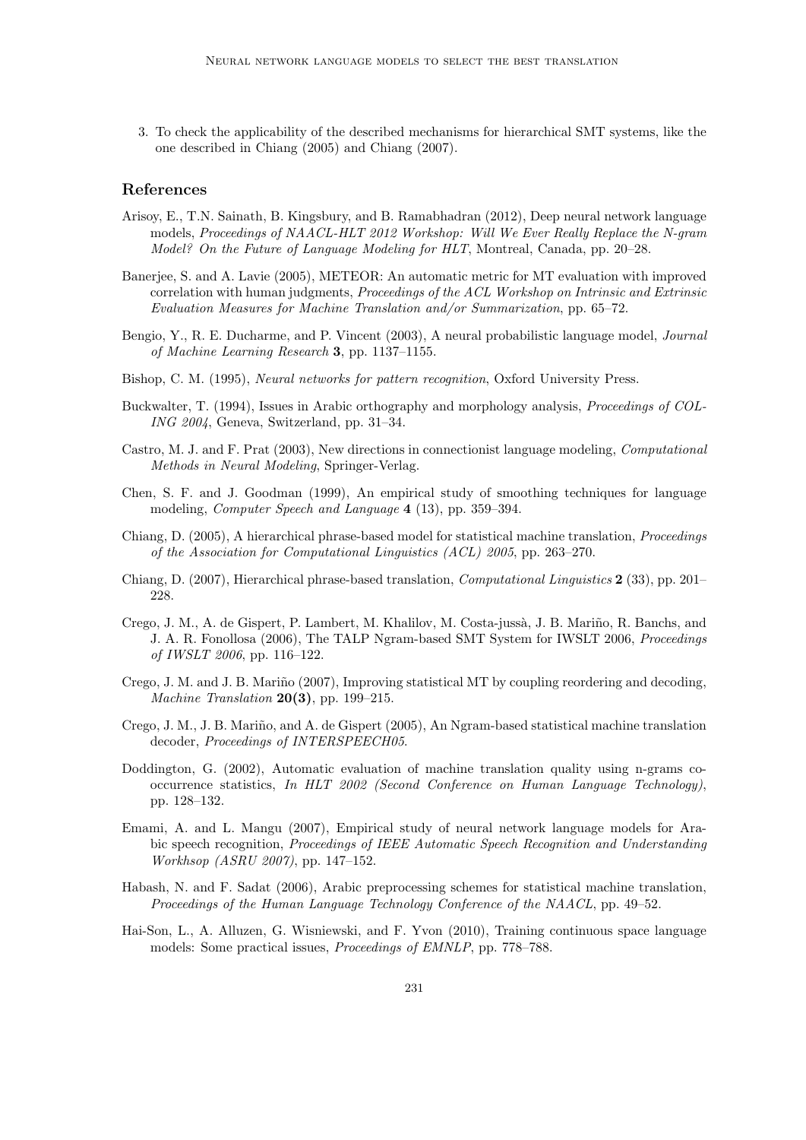3. To check the applicability of the described mechanisms for hierarchical SMT systems, like the one described in Chiang (2005) and Chiang (2007).

# References

- Arisoy, E., T.N. Sainath, B. Kingsbury, and B. Ramabhadran (2012), Deep neural network language models, Proceedings of NAACL-HLT 2012 Workshop: Will We Ever Really Replace the N-gram Model? On the Future of Language Modeling for HLT, Montreal, Canada, pp. 20–28.
- Baneriee, S. and A. Lavie (2005), METEOR: An automatic metric for MT evaluation with improved correlation with human judgments, *Proceedings of the ACL Workshop on Intrinsic and Extrinsic* Evaluation Measures for Machine Translation and/or Summarization, pp. 65–72.
- Bengio, Y., R. E. Ducharme, and P. Vincent (2003), A neural probabilistic language model, Journal of Machine Learning Research 3, pp. 1137–1155.
- Bishop, C. M. (1995), Neural networks for pattern recognition, Oxford University Press.
- Buckwalter, T. (1994), Issues in Arabic orthography and morphology analysis, *Proceedings of COL-*ING 2004, Geneva, Switzerland, pp. 31–34.
- Castro, M. J. and F. Prat (2003), New directions in connectionist language modeling, Computational Methods in Neural Modeling, Springer-Verlag.
- Chen, S. F. and J. Goodman (1999), An empirical study of smoothing techniques for language modeling, Computer Speech and Language 4 (13), pp. 359–394.
- Chiang, D. (2005), A hierarchical phrase-based model for statistical machine translation, Proceedings of the Association for Computational Linguistics (ACL) 2005, pp. 263–270.
- Chiang, D. (2007), Hierarchical phrase-based translation, Computational Linguistics 2 (33), pp. 201– 228.
- Crego, J. M., A. de Gispert, P. Lambert, M. Khalilov, M. Costa-jussà, J. B. Mariño, R. Banchs, and J. A. R. Fonollosa (2006), The TALP Ngram-based SMT System for IWSLT 2006, Proceedings of IWSLT 2006, pp. 116–122.
- Crego, J. M. and J. B. Mariño (2007), Improving statistical MT by coupling reordering and decoding, Machine Translation  $20(3)$ , pp. 199–215.
- Crego, J. M., J. B. Mariño, and A. de Gispert (2005), An Ngram-based statistical machine translation decoder, Proceedings of INTERSPEECH05.
- Doddington, G. (2002), Automatic evaluation of machine translation quality using n-grams cooccurrence statistics, In HLT 2002 (Second Conference on Human Language Technology), pp. 128–132.
- Emami, A. and L. Mangu (2007), Empirical study of neural network language models for Arabic speech recognition, Proceedings of IEEE Automatic Speech Recognition and Understanding Workhsop (ASRU 2007), pp. 147–152.
- Habash, N. and F. Sadat (2006), Arabic preprocessing schemes for statistical machine translation, Proceedings of the Human Language Technology Conference of the NAACL, pp. 49–52.
- Hai-Son, L., A. Alluzen, G. Wisniewski, and F. Yvon (2010), Training continuous space language models: Some practical issues, Proceedings of EMNLP, pp. 778–788.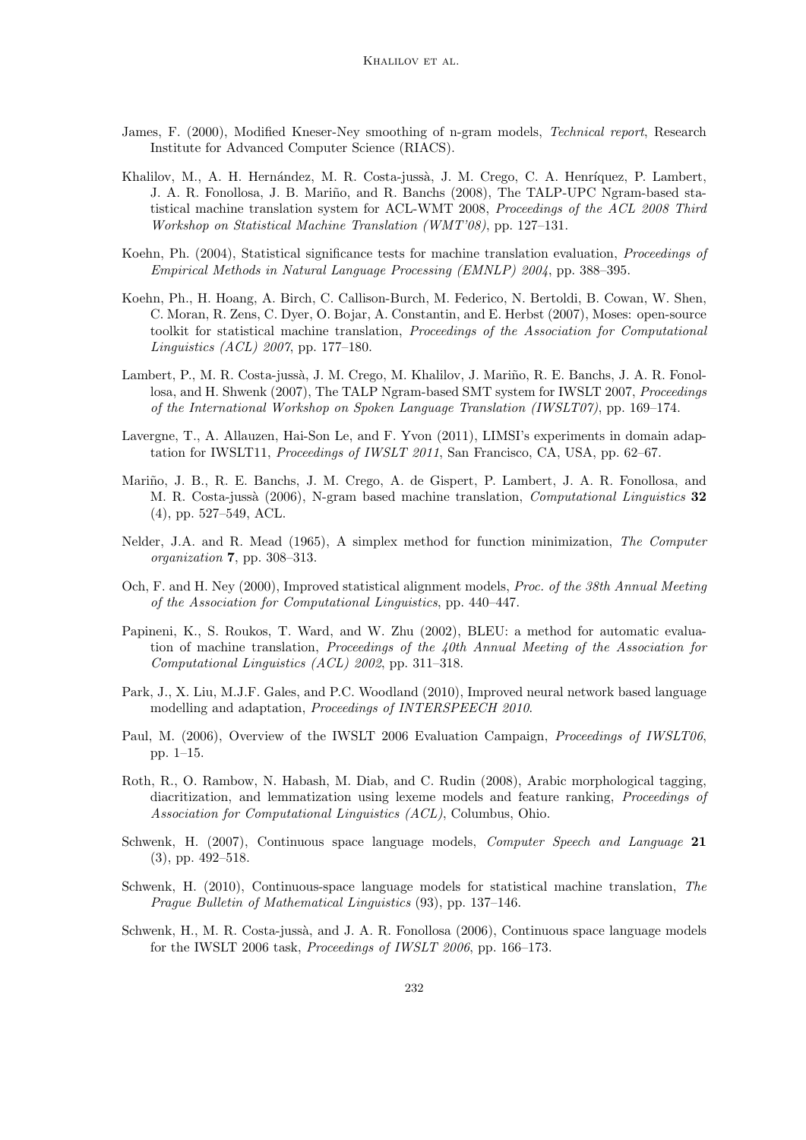- James, F. (2000), Modified Kneser-Ney smoothing of n-gram models, *Technical report*, Research Institute for Advanced Computer Science (RIACS).
- Khalilov, M., A. H. Hernández, M. R. Costa-jussà, J. M. Crego, C. A. Henríquez, P. Lambert, J. A. R. Fonollosa, J. B. Mariño, and R. Banchs (2008), The TALP-UPC Ngram-based statistical machine translation system for ACL-WMT 2008, Proceedings of the ACL 2008 Third Workshop on Statistical Machine Translation (WMT'08), pp. 127–131.
- Koehn, Ph. (2004), Statistical significance tests for machine translation evaluation, Proceedings of Empirical Methods in Natural Language Processing (EMNLP) 2004, pp. 388–395.
- Koehn, Ph., H. Hoang, A. Birch, C. Callison-Burch, M. Federico, N. Bertoldi, B. Cowan, W. Shen, C. Moran, R. Zens, C. Dyer, O. Bojar, A. Constantin, and E. Herbst (2007), Moses: open-source toolkit for statistical machine translation, Proceedings of the Association for Computational Linguistics (ACL) 2007, pp. 177–180.
- Lambert, P., M. R. Costa-jussà, J. M. Crego, M. Khalilov, J. Mariño, R. E. Banchs, J. A. R. Fonollosa, and H. Shwenk (2007), The TALP Ngram-based SMT system for IWSLT 2007, Proceedings of the International Workshop on Spoken Language Translation (IWSLT07), pp. 169–174.
- Lavergne, T., A. Allauzen, Hai-Son Le, and F. Yvon (2011), LIMSI's experiments in domain adaptation for IWSLT11, *Proceedings of IWSLT 2011*, San Francisco, CA, USA, pp. 62–67.
- Mariño, J. B., R. E. Banchs, J. M. Crego, A. de Gispert, P. Lambert, J. A. R. Fonollosa, and M. R. Costa-jussà (2006), N-gram based machine translation, Computational Linguistics 32 (4), pp. 527–549, ACL.
- Nelder, J.A. and R. Mead (1965), A simplex method for function minimization, The Computer organization 7, pp. 308–313.
- Och, F. and H. Ney (2000), Improved statistical alignment models, *Proc. of the 38th Annual Meeting* of the Association for Computational Linguistics, pp. 440–447.
- Papineni, K., S. Roukos, T. Ward, and W. Zhu (2002), BLEU: a method for automatic evaluation of machine translation, Proceedings of the 40th Annual Meeting of the Association for Computational Linguistics (ACL) 2002, pp. 311–318.
- Park, J., X. Liu, M.J.F. Gales, and P.C. Woodland (2010), Improved neural network based language modelling and adaptation, Proceedings of INTERSPEECH 2010.
- Paul, M. (2006), Overview of the IWSLT 2006 Evaluation Campaign, *Proceedings of IWSLT06*, pp. 1–15.
- Roth, R., O. Rambow, N. Habash, M. Diab, and C. Rudin (2008), Arabic morphological tagging, diacritization, and lemmatization using lexeme models and feature ranking, Proceedings of Association for Computational Linguistics (ACL), Columbus, Ohio.
- Schwenk, H. (2007), Continuous space language models, Computer Speech and Language 21 (3), pp. 492–518.
- Schwenk, H. (2010), Continuous-space language models for statistical machine translation, The Prague Bulletin of Mathematical Linguistics (93), pp. 137–146.
- Schwenk, H., M. R. Costa-jussà, and J. A. R. Fonollosa (2006), Continuous space language models for the IWSLT 2006 task, Proceedings of IWSLT 2006, pp. 166–173.